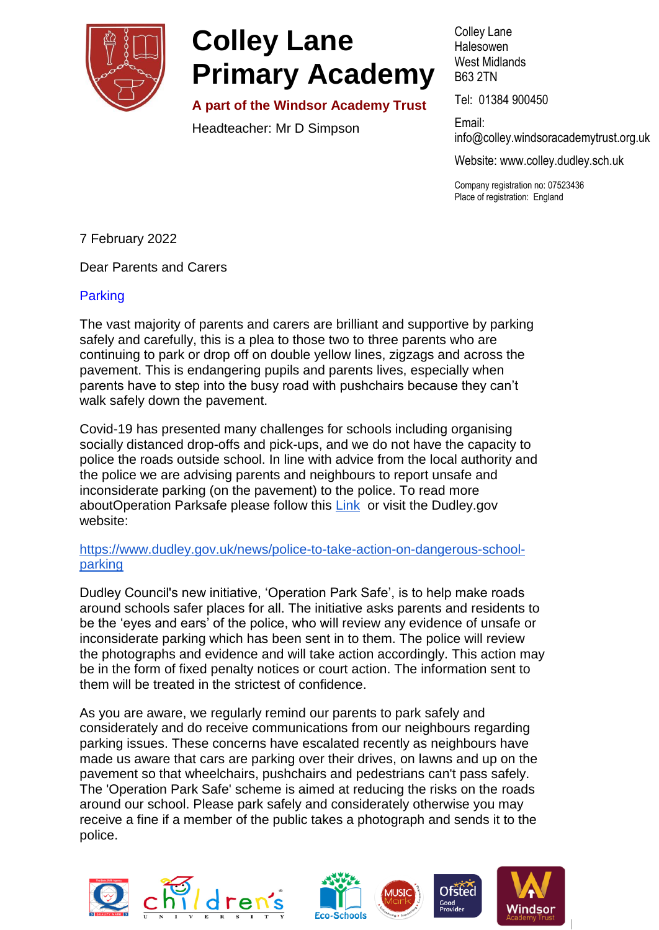

# **Colley Lane Primary Academy**

**A part of the Windsor Academy Trust**

Headteacher: Mr D Simpson

Colley Lane Halesowen West Midlands B63 2TN

Tel: 01384 900450

Email: info@colle[y.windsoracademytrust.org.uk](http://www.windsoracademytrust.org.uk/)

Website: www.colley.dudley.sch.uk

Company registration no: 07523436 Place of registration: England

7 February 2022

Dear Parents and Carers

### Parking

The vast majority of parents and carers are brilliant and supportive by parking safely and carefully, this is a plea to those two to three parents who are continuing to park or drop off on double yellow lines, zigzags and across the pavement. This is endangering pupils and parents lives, especially when parents have to step into the busy road with pushchairs because they can't walk safely down the pavement.

Covid-19 has presented many challenges for schools including organising socially distanced drop-offs and pick-ups, and we do not have the capacity to police the roads outside school. In line with advice from the local authority and the police we are advising parents and neighbours to report unsafe and inconsiderate parking (on the pavement) to the police. To read more aboutOperation Parksafe please follow this [Link](https://www.dudley.gov.uk/news/police-to-take-action-on-dangerous-school-parking/?fbclid=IwAR3t8w2C58xUZ2s_SiTtJblnKzBK5xjH-lrNnAHtySFG1NfIHxlHPHxr6no) or visit the Dudley.gov website:

#### [https://www.dudley.gov.uk/news/police-to-take-action-on-dangerous-school](https://www.dudley.gov.uk/news/police-to-take-action-on-dangerous-school-parking)[parking](https://www.dudley.gov.uk/news/police-to-take-action-on-dangerous-school-parking)

Dudley Council's new initiative, 'Operation Park Safe', is to help make roads around schools safer places for all. The initiative asks parents and residents to be the 'eyes and ears' of the police, who will review any evidence of unsafe or inconsiderate parking which has been sent in to them. The police will review the photographs and evidence and will take action accordingly. This action may be in the form of fixed penalty notices or court action. The information sent to them will be treated in the strictest of confidence.

As you are aware, we regularly remind our parents to park safely and considerately and do receive communications from our neighbours regarding parking issues. These concerns have escalated recently as neighbours have made us aware that cars are parking over their drives, on lawns and up on the pavement so that wheelchairs, pushchairs and pedestrians can't pass safely. The 'Operation Park Safe' scheme is aimed at reducing the risks on the roads around our school. Please park safely and considerately otherwise you may receive a fine if a member of the public takes a photograph and sends it to the police.







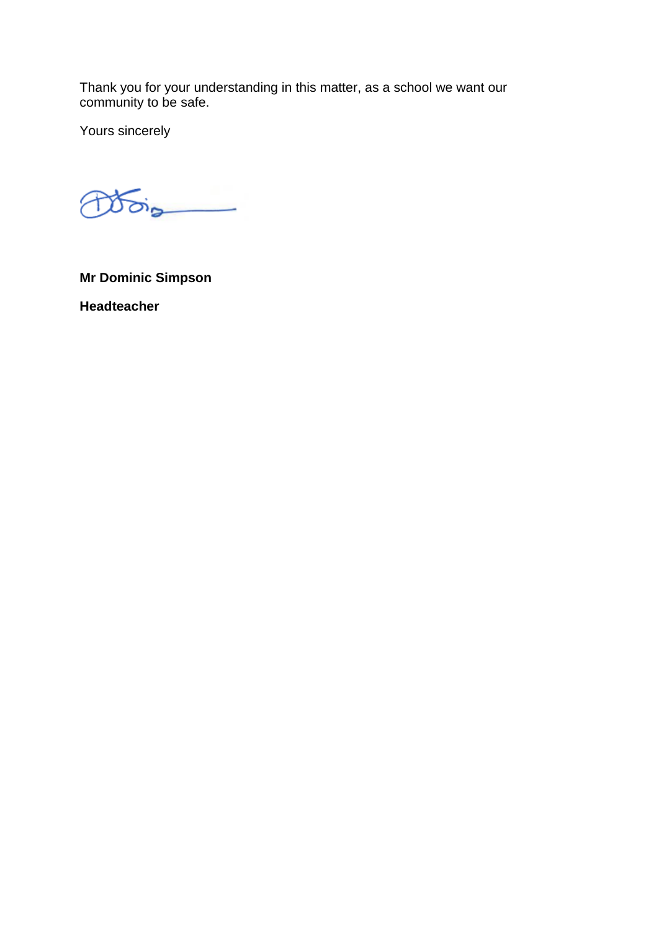Thank you for your understanding in this matter, as a school we want our community to be safe.

Yours sincerely

 $\delta$ PÆ

**Mr Dominic Simpson Headteacher**